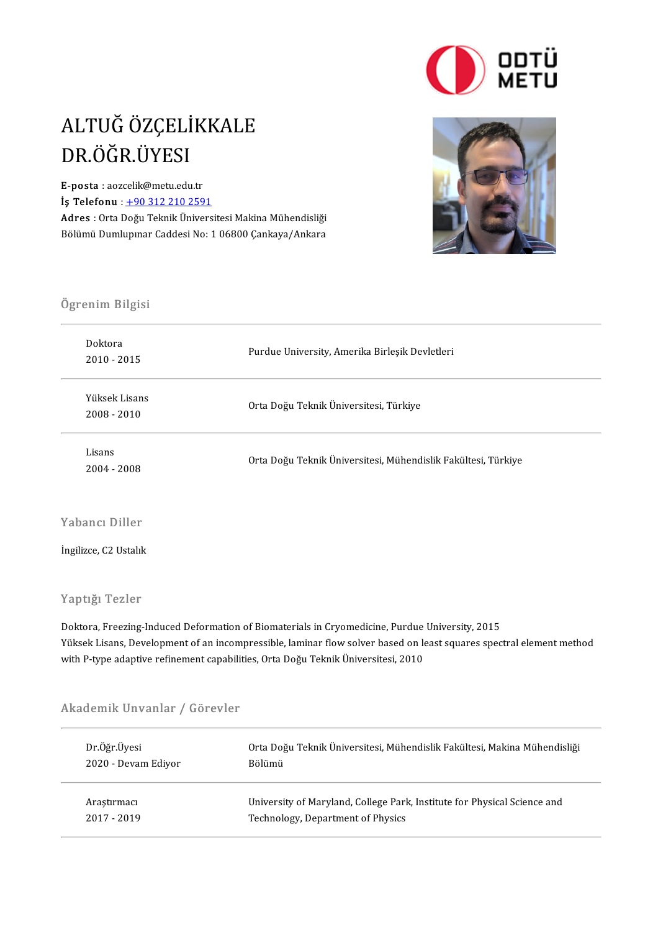

### ALTUĞ ÖZÇELİKKALE<br>DR ÖĞR ÜYESI ALTUĞ ÖZÇELİ<br>DR.ÖĞR.ÜYESI<br>E-posta : aqzçelik@metu.edu. E-posta :aozcelik@metu.edu.tr

 $i$ ş Telefonu :  $+903122102591$ Adres : Orta Doğu Teknik Üniversitesi Makina Mühendisliği Bölümü Dumlupınar Caddesi No: 1 06800 Çankaya/Ankara



# .<br>Ögrenim Bilgisi

| Yüksek Lisans<br>Orta Doğu Teknik Üniversitesi, Türkiye<br>$2008 - 2010$               |
|----------------------------------------------------------------------------------------|
| Lisans<br>Orta Doğu Teknik Üniversitesi, Mühendislik Fakültesi, Türkiye<br>2004 - 2008 |

İngilizce, C2 Ustalık

#### Yaptığı Tezler

Doktora, Freezing-Induced Deformation of Biomaterials in Cryomedicine, Purdue University, 2015 Yüksek Lisans, Development of an incompressible, laminar flow solver based on least squares spectral element method with P-type adaptive refinement capabilities, Orta Doğu Teknik Üniversitesi, 2010

# with P-type adaptive refinement capabilit<br>Akademik Unvanlar / Görevler

| Dr Öğr Üyesi<br>2020 - Devam Ediyor | Orta Doğu Teknik Üniversitesi, Mühendislik Fakültesi, Makina Mühendisliği |
|-------------------------------------|---------------------------------------------------------------------------|
|                                     | Bölümü                                                                    |
| Arastırmacı                         | University of Maryland, College Park, Institute for Physical Science and  |
| 2017 - 2019                         | Technology, Department of Physics                                         |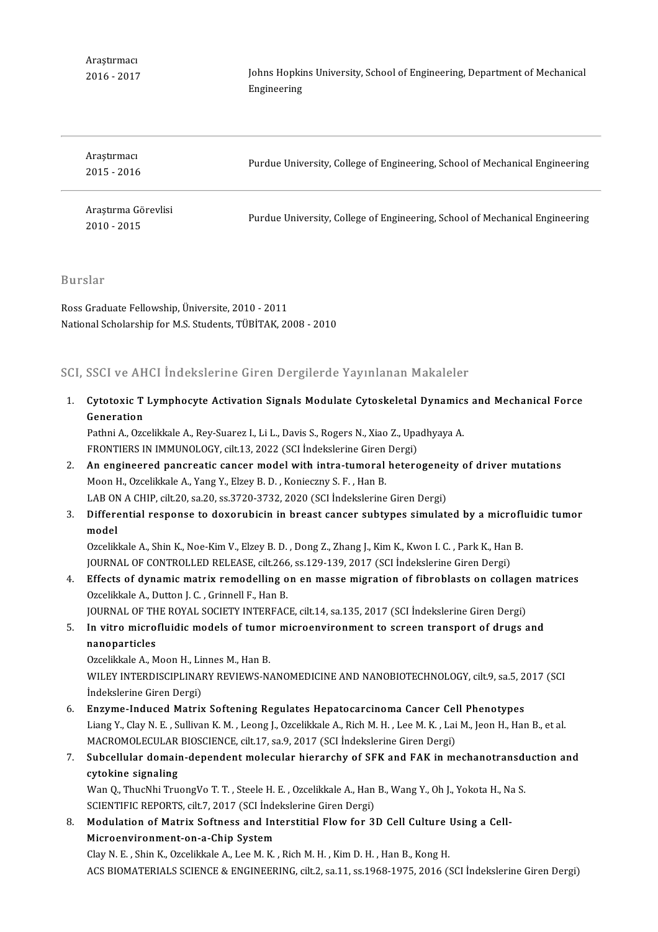Araştırmacı 2016-2017 Johns Hopkins University, School of Engineering, Department of Mechanical<br>Engineering Johns Hopkir<br>Engineering

| Arastirmaci<br>$2015 - 2016$         | Purdue University, College of Engineering, School of Mechanical Engineering |
|--------------------------------------|-----------------------------------------------------------------------------|
| Araştırma Görevlisi<br>$2010 - 2015$ | Purdue University, College of Engineering, School of Mechanical Engineering |

Burslar

RossGraduate Felowship,Üniversite,2010-2011 National Scholarship for M.S. Students, TÜBİTAK, 2008 - 2010

#### SCI, SSCI ve AHCI İndekslerine Giren Dergilerde Yayınlanan Makaleler

1. CI, SSCI ve AHCI İndekslerine Giren Dergilerde Yayınlanan Makaleler<br>1. Cytotoxic T Lymphocyte Activation Signals Modulate Cytoskeletal Dynamics and Mechanical Force<br>Coneration Cytotoxic T<br>Generation<br><sup>Rathni A</sup> Oze Cytotoxic T Lymphocyte Activation Signals Modulate Cytoskeletal Dynamics<br>Generation<br>Pathni A., Ozcelikkale A., Rey-Suarez I., Li L., Davis S., Rogers N., Xiao Z., Upadhyaya A.<br>ERONTIERS IN IMMUNOLOCY, silt 12, 2022 (SCLInd

Generation<br>Pathni A., Ozcelikkale A., Rey-Suarez I., Li L., Davis S., Rogers N., Xiao Z., Upa<br>FRONTIERS IN IMMUNOLOGY, cilt.13, 2022 (SCI İndekslerine Giren Dergi)<br>An engineered panereatis sanser model with intra tumaral b FRONTIERS IN IMMUNOLOGY, cilt 13, 2022 (SCI İndekslerine Giren Dergi)

- 2. An engineered pancreatic cancer model with intra-tumoral heterogeneity of driver mutations Moon H. Ozcelikkale A., Yang Y., Elzey B. D., Konieczny S. F., Han B. LAB ON A CHIP, cilt.20, sa.20, ss.3720-3732, 2020 (SCI İndekslerine Giren Dergi) 3. Moon H., Ozcelikkale A., Yang Y., Elzey B. D. , Konieczny S. F. , Han B.<br>LAB ON A CHIP, cilt.20, sa.20, ss.3720-3732, 2020 (SCI İndekslerine Giren Dergi)<br>3. Differential response to doxorubicin in breast cancer subtypes
- LAB ON<br>Differe<br>model<br>Ozcelik Differential response to doxorubicin in breast cancer subtypes simulated by a microfl<br>model<br>Ozcelikkale A., Shin K., Noe-Kim V., Elzey B. D. , Dong Z., Zhang J., Kim K., Kwon I. C. , Park K., Han B.<br>JOUPMAL OF CONTROLLED B

model<br>Ozcelikkale A., Shin K., Noe-Kim V., Elzey B. D. , Dong Z., Zhang J., Kim K., Kwon I. C. , Park K., Han<br>JOURNAL OF CONTROLLED RELEASE, cilt.266, ss.129-139, 2017 (SCI İndekslerine Giren Dergi)<br>Effects of dunamis metr Ozcelikkale A., Shin K., Noe-Kim V., Elzey B. D., Dong Z., Zhang J., Kim K., Kwon I. C., Park K., Han B.<br>JOURNAL OF CONTROLLED RELEASE, cilt.266, ss.129-139, 2017 (SCI Indekslerine Giren Dergi)<br>4. Effects of dynamic matrix

- JOURNAL OF CONTROLLED RELEASE, cilt.266<br>Effects of dynamic matrix remodelling of<br>Ozcelikkale A., Dutton J. C. , Grinnell F., Han B.<br>JOURNAL OF THE POVAL SOCIETY INTERFAC Effects of dynamic matrix remodelling on en masse migration of fibroblasts on collager<br>Ozcelikkale A., Dutton J. C. , Grinnell F., Han B.<br>JOURNAL OF THE ROYAL SOCIETY INTERFACE, cilt.14, sa.135, 2017 (SCI İndekslerine Gire Ozcelikkale A., Dutton J. C. , Grinnell F., Han B.<br>JOURNAL OF THE ROYAL SOCIETY INTERFACE, cilt.14, sa.135, 2017 (SCI Indekslerine Giren Dergi)<br>5. In vitro microfluidic models of tumor microenvironment to screen transport JOURNAL OF THE ROYAL SOCIETY INTERFACE, cilt.14, sa.135, 2017 (SCI Indekslerine Giren Dergi)
- 

Ozcelikkale A., Moon H., Linnes M., Han B.

nanoparticles<br>Ozcelikkale A., Moon H., Linnes M., Han B.<br>WILEY INTERDISCIPLINARY REVIEWS-NANOMEDICINE AND NANOBIOTECHNOLOGY, cilt.9, sa.5, 2017 (SCI Ozcelikkale A., Moon H., Lii<br>WILEY INTERDISCIPLINAI<br>İndekslerine Giren Dergi)<br>Enguma Indused Matriy WILEY INTERDISCIPLINARY REVIEWS-NANOMEDICINE AND NANOBIOTECHNOLOGY, cilt.9, sa.5, 2<br>
indekslerine Giren Dergi)<br>
6. Enzyme-Induced Matrix Softening Regulates Hepatocarcinoma Cancer Cell Phenotypes<br>
Liang V. Clav N. E. Sulli

İndekslerine Giren Dergi)<br>**Enzyme-Induced Matrix Softening Regulates Hepatocarcinoma Cancer Cell Phenotypes**<br>Liang Y., Clay N. E. , Sullivan K. M. , Leong J., Ozcelikkale A., Rich M. H. , Lee M. K. , Lai M., Jeon H., Han B Enzyme-Induced Matrix Softening Regulates Hepatocarcinoma Cancer Cell Phenotypes Liang Y., Clay N. E. , Sullivan K. M. , Leong J., Ozcelikkale A., Rich M. H. , Lee M. K. , Lai M., Jeon H., Han B., et al.<br>MACROMOLECULAR BIOSCIENCE, cilt.17, sa.9, 2017 (SCI Indekslerine Giren Dergi)<br>7. Subcellular domain

### MACROMOLECULAR BIOSCIENCE, cilt.17, sa.9, 2017 (SCI İndekslerine Giren Dergi)<br>Subcellular domain-dependent molecular hierarchy of SFK and FAK in mechanotransdu<br>cytokine signaling<br>Wan Q., ThucNhi TruongVo T. T. , Steele H. 7. Subcellular domain-dependent molecular hierarchy of SFK and FAK in mechanotransduction and

SCIENTIFIC REPORTS, cilt.7, 2017 (SCI İndekslerine Giren Dergi) Wan Q., ThucNhi TruongVo T. T. , Steele H. E. , Ozcelikkale A., Han B., Wang Y., Oh J., Yokota H., Na<br>SCIENTIFIC REPORTS, cilt.7, 2017 (SCI Indekslerine Giren Dergi)<br>8. Modulation of Matrix Softness and Interstitial Flow f

SCIENTIFIC REPORTS, cilt.7, 2017 (SCI İnde<br>Modulation of Matrix Softness and Int<br>Microenvironment-on-a-Chip System<br>Clav N. E., Ship K. Ozalikliale A. Lee M. K. Modulation of Matrix Softness and Interstitial Flow for 3D Cell Culture<br>Microenvironment-on-a-Chip System<br>Clay N. E. , Shin K., Ozcelikkale A., Lee M. K. , Rich M. H. , Kim D. H. , Han B., Kong H.<br>ACS BIOMATERIALS SCIENCE

Microenvironment-on-a-Chip System<br>Clay N. E. , Shin K., Ozcelikkale A., Lee M. K. , Rich M. H. , Kim D. H. , Han B., Kong H.<br>ACS BIOMATERIALS SCIENCE & ENGINEERING, cilt.2, sa.11, ss.1968-1975, 2016 (SCI İndekslerine Giren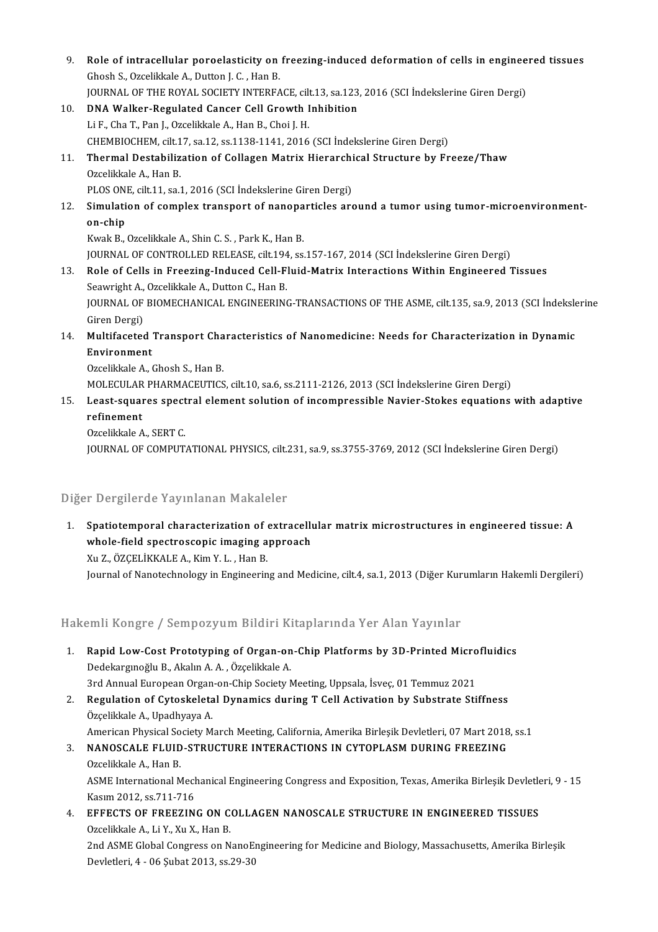9. Role of intracellular poroelasticity on freezing-induced deformation of cells in engineered tissues<br>Chash S. Ozalikkala A. Dutton L.C., Han B. Ghosh S., Ozcelikkale A., Dutton J. C. , Han B.<br>JOURNAL OF THE ROYAL SOCIETY INTERFACE, cilt.13, sa.123, 2016 (SCI Indekslerine Giren Dergi) Role of intracellular poroelasticity on freezing-induced deformation of cells in enginee<br>Ghosh S., Ozcelikkale A., Dutton J. C. , Han B.<br>JOURNAL OF THE ROYAL SOCIETY INTERFACE, cilt.13, sa.123, 2016 (SCI İndekslerine Giren 10. DNA Walker-Regulated Cancer Cell Growth Inhibition LiF.,ChaT.,PanJ.,OzcelikkaleA.,HanB.,Choi J.H. CHEMBIOCHEM, cilt.17, sa.12, ss.1138-1141, 2016 (SCI İndekslerine Giren Dergi) Li F., Cha T., Pan J., Ozcelikkale A., Han B., Choi J. H.<br>CHEMBIOCHEM, cilt.17, sa.12, ss.1138-1141, 2016 (SCI İndekslerine Giren Dergi)<br>11. Thermal Destabilization of Collagen Matrix Hierarchical Structure by Freeze/Th CHEMBIOCHEM, cilt.1<br>Thermal Destabiliz<br>Ozcelikkale A., Han B.<br>BLOS ONE cilt.11, ca.1 Thermal Destabilization of Collagen Matrix Hierarchi<br>Ozcelikkale A., Han B.<br>PLOS ONE, cilt.11, sa.1, 2016 (SCI İndekslerine Giren Dergi)<br>Simulation of complex transport of papenanticles are 0zcelikkale A., Han B.<br>12. Simulation of complex transport of nanoparticles around a tumor using tumor-microenvironment-<br>2. Simulation of complex transport of nanoparticles around a tumor using tumor-microenvironment-PLOS ON<br>Simulati<br>on-chip<br><sup>Kurak B</sup> Simulation of complex transport of nanopa<br>on-chip<br>Kwak B., Ozcelikkale A., Shin C. S. , Park K., Han B.<br>JOUPMAL OF CONTROLLED BELEASE, silt 194, SS. **on-chip**<br>Kwak B., Ozcelikkale A., Shin C. S. , Park K., Han B.<br>JOURNAL OF CONTROLLED RELEASE, cilt.194, ss.157-167, 2014 (SCI İndekslerine Giren Dergi) Kwak B., Ozcelikkale A., Shin C. S. , Park K., Han B.<br>13. Role of Cells in Freezing-Induced Cell-Fluid-Matrix Interactions Within Engineered Tissues<br>5. Seauwight A. Ozcelikkale A. Dutton G. Han B. JOURNAL OF CONTROLLED RELEASE, cilt.194<br>Role of Cells in Freezing-Induced Cell-F<br>Seawright A., Ozcelikkale A., Dutton C., Han B.<br>JOURNAL OF PIOMECHANICAL ENCINEERING JOURNAL OF BIOMECHANICAL ENGINEERING-TRANSACTIONS OF THE ASME, cilt.135, sa.9, 2013 (SCI İndekslerine<br>Giren Dergi) Seawright A., Ozcelikkale A., Dutton C., Han B. 14. JOURNAL OF BIOMECHANICAL ENGINEERING-TRANSACTIONS OF THE ASME, cilt.135, sa.9, 2013 (SCI Indeksle<br>Giren Dergi)<br>14. Multifaceted Transport Characteristics of Nanomedicine: Needs for Characterization in Dynamic<br>Environme Giren Dergi)<br>Multifaceted<br>Environment<br>Ozselikkele A Multifaceted Transport Cha<br>Environment<br>Ozcelikkale A., Ghosh S., Han B.<br>MOLECULAR RHARMACEUTICS Environment<br>Ozcelikkale A., Ghosh S., Han B.<br>MOLECULAR PHARMACEUTICS, cilt.10, sa.6, ss.2111-2126, 2013 (SCI İndekslerine Giren Dergi)<br>Loast sauares spectral element selution of insemnressible Navier Stekes equations. 0zcelikkale A., Ghosh S., Han B.<br>MOLECULAR PHARMACEUTICS, cilt.10, sa.6, ss.2111-2126, 2013 (SCI İndekslerine Giren Dergi)<br>15. Least-squares spectral element solution of incompressible Navier-Stokes equations with adaptive MOLECULAR<br>Least-squar<br>refinement<br>Ozcolikkele A Least-squares spect<br>refinement<br>Ozcelikkale A., SERT C.<br>JOUPNAL OF COMPUT r**efinement**<br>Ozcelikkale A., SERT C.<br>JOURNAL OF COMPUTATIONAL PHYSICS, cilt.231, sa.9, ss.3755-3769, 2012 (SCI İndekslerine Giren Dergi)

#### Diğer Dergilerde Yayınlanan Makaleler

diger Dergilerde Yayınlanan Makaleler<br>1. Spatiotemporal characterization of extracellular matrix microstructures in engineered tissue: A<br>whole field spectrossenis imaging approach Substitute and intended spectroscopic imaging approach<br>whole-field spectroscopic imaging approach<br>xy 7. ÖZCELİKKALEA, Kim V.L., Han P. Spatiotemporal characterization of<br>whole-field spectroscopic imaging a<br>Xu Z., ÖZÇELİKKALE A., Kim Y. L. , Han B.<br>Journal of Nanateshneleau in Engineerin whole-field spectroscopic imaging approach<br>Xu Z., ÖZÇELİKKALE A., Kim Y. L. , Han B.<br>Journal of Nanotechnology in Engineering and Medicine, cilt.4, sa.1, 2013 (Diğer Kurumların Hakemli Dergileri)

100 journal of Nanotechnology in Engineering and Medicine, citt4, sa.1, 2013 (Diger Kur<br>Hakemli Kongre / Sempozyum Bildiri Kitaplarında Yer Alan Yayınlar

- Iakemli Kongre / Sempozyum Bildiri Kitaplarında Yer Alan Yayınlar<br>1. Rapid Low-Cost Prototyping of Organ-on-Chip Platforms by 3D-Printed Microfluidics<br>Dedekaraneğlu B. Akalın A.A. Özelikkele A 1. Rapid Low-Cost Prototyping of Organ-on-Chip Platforms by 3D-Printed Microfluidics<br>Dedekargınoğlu B., Akalın A.A., Özçelikkale A. Rapid Low-Cost Prototyping of Organ-on-Chip Platforms by 3D-Printed Micro<br>Dedekargmoğlu B., Akalın A. A. , Özçelikkale A.<br>3rd Annual European Organ-on-Chip Society Meeting, Uppsala, İsveç, 01 Temmuz 2021<br>Begyletion of Cyte
- 2. Regulation of Cytoskeletal Dynamics during T Cell Activation by Substrate Stiffness Özçelikkale A., Upadhyaya A. 3rd Annual European Organ<br>**Regulation of Cytoskeleta**<br>Özçelikkale A., Upadhyaya A.<br>American Physical Society M Regulation of Cytoskeletal Dynamics during T Cell Activation by Substrate Stiffness<br>Özçelikkale A., Upadhyaya A.<br>American Physical Society March Meeting, California, Amerika Birleşik Devletleri, 07 Mart 2018, ss.1<br>NANOSCAL
- 3. NANOSCALE FLUID-STRUCTURE INTERACTIONS IN CYTOPLASM DURING FREEZING Ozcelikkale A., Han B. American Physical So<br>**NANOSCALE FLUID**<br>Ozcelikkale A., Han B.<br>ASME International M NANOSCALE FLUID-STRUCTURE INTERACTIONS IN CYTOPLASM DURING FREEZING<br>Ozcelikkale A., Han B.<br>ASME International Mechanical Engineering Congress and Exposition, Texas, Amerika Birleşik Devletleri, 9 - 15<br>Kasum 2012, 85.711.71 Ozcelikkale A., Han B.<br>ASME International Mech<br>Kasım 2012, ss.711-716<br>EEEECTS OF EDEEZIN ASME International Mechanical Engineering Congress and Exposition, Texas, Amerika Birleşik Devletle<br>Kasım 2012, ss.711-716<br>4. EFFECTS OF FREEZING ON COLLAGEN NANOSCALE STRUCTURE IN ENGINEERED TISSUES<br>Qraslikkala A Li V. Yu
- Kasım 2012, ss.711-716<br>4. EFFECTS OF FREEZING ON COLLAGEN NANOSCALE STRUCTURE IN ENGINEERED TISSUES<br>0zcelikkale A., Li Y., Xu X., Han B. EFFECTS OF FREEZING ON COLLAGEN NANOSCALE STRUCTURE IN ENGINEERED TISSUES<br>Ozcelikkale A., Li Y., Xu X., Han B.<br>2nd ASME Global Congress on NanoEngineering for Medicine and Biology, Massachusetts, Amerika Birleşik<br>Dovlatlar Ozcelikkale A., Li Y., Xu X., Han B.<br>2nd ASME Global Congress on NanoE:<br>Devletleri, 4 - 06 Şubat 2013, ss.29-30